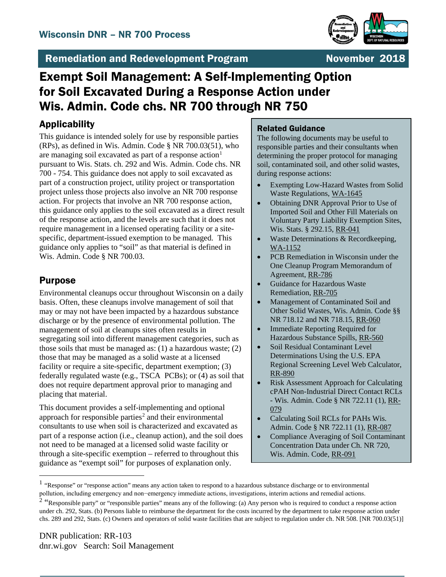

## Remediation and Redevelopment Program November 2018

# Exempt Soil Management: A Self-Implementing Option for Soil Excavated During a Response Action under Wis. Admin. Code chs. NR 700 through NR 750

## Applicability

This guidance is intended solely for use by responsible parties (RPs), as defined in Wis. Admin. Code § NR 700.03(51), who are managing soil excavated as part of a response action<sup>[1](#page-0-0)</sup> pursuant to Wis. Stats. ch. 292 and Wis. Admin. Code chs. NR 700 - 754. This guidance does not apply to soil excavated as part of a construction project, utility project or transportation project unless those projects also involve an NR 700 response action. For projects that involve an NR 700 response action, this guidance only applies to the soil excavated as a direct result of the response action, and the levels are such that it does not require management in a licensed operating facility or a sitespecific, department-issued exemption to be managed. This guidance only applies to "soil" as that material is defined in Wis. Admin. Code § NR 700.03.

### Purpose

Environmental cleanups occur throughout Wisconsin on a daily basis. Often, these cleanups involve management of soil that may or may not have been impacted by a hazardous substance discharge or by the presence of environmental pollution. The management of soil at cleanups sites often results in segregating soil into different management categories, such as those soils that must be managed as: (1) a hazardous waste; (2) those that may be managed as a solid waste at a licensed facility or require a site-specific, department exemption; (3) federally regulated waste (e.g., TSCA PCBs); or (4) as soil that does not require department approval prior to managing and placing that material.

This document provides a self-implementing and optional approach for responsible parties<sup>[2](#page-0-1)</sup> and their environmental consultants to use when soil is characterized and excavated as part of a response action (i.e., cleanup action), and the soil does not need to be managed at a licensed solid waste facility or through a site-specific exemption – referred to throughout this guidance as "exempt soil" for purposes of explanation only.

#### Related Guidance

The following documents may be useful to responsible parties and their consultants when determining the proper protocol for managing soil, contaminated soil, and other solid wastes, during response actions:

- [Exempting Low-Hazard Wastes from Solid](http://dnr.wi.gov/files/PDF/pubs/wa/WA1645.pdf)  [Waste Regulations, WA-1645](http://dnr.wi.gov/files/PDF/pubs/wa/WA1645.pdf)
- [Obtaining DNR Approval Prior to Use of](http://dnr.wi.gov/files/PDF/pubs/rr/RR041.pdf)  [Imported Soil and Other Fill Materials on](http://dnr.wi.gov/files/PDF/pubs/rr/RR041.pdf)  [Voluntary Party Liability Exemption Sites,](http://dnr.wi.gov/files/PDF/pubs/rr/RR041.pdf)  Wis. [Stats. § 292.15, RR-041](http://dnr.wi.gov/files/PDF/pubs/rr/RR041.pdf)
- Waste Determinations & Recordkeeping, [WA-1152](http://dnr.wi.gov/files/PDF/pubs/wa/WA1152.pdf)
- [PCB Remediation in Wisconsin under the](http://dnr.wi.gov/files/PDF/pubs/rr/RR786.pdf)  [One Cleanup Program Memorandum of](http://dnr.wi.gov/files/PDF/pubs/rr/RR786.pdf)  [Agreement, RR-786](http://dnr.wi.gov/files/PDF/pubs/rr/RR786.pdf)
- [Guidance for Hazardous Waste](http://dnr.wi.gov/files/PDF/pubs/rr/RR705.pdf)  [Remediation, RR-705](http://dnr.wi.gov/files/PDF/pubs/rr/RR705.pdf)
- [Management of Contaminated Soil and](http://dnr.wi.gov/files/PDF/pubs/rr/RR060.pdf)  [Other Solid Wastes, Wis. Admin. Code §§](http://dnr.wi.gov/files/PDF/pubs/rr/RR060.pdf)  [NR 718.12 and NR 718.15, RR-060](http://dnr.wi.gov/files/PDF/pubs/rr/RR060.pdf)
- [Immediate Reporting Required for](http://dnr.wi.gov/files/PDF/pubs/rr/RR560.pdf)  [Hazardous Substance Spills, RR-560](http://dnr.wi.gov/files/PDF/pubs/rr/RR560.pdf)
- Soil Residual Contaminant Level [Determinations Using the U.S. EPA](http://dnr.wi.gov/files/PDF/pubs/rr/RR890.pdf)  [Regional Screening Level Web Calculator,](http://dnr.wi.gov/files/PDF/pubs/rr/RR890.pdf)  [RR-890](http://dnr.wi.gov/files/PDF/pubs/rr/RR890.pdf)
- Risk Assessment Approach for Calculating [cPAH Non-Industrial Direct Contact RCLs](http://dnr.wi.gov/files/PDF/pubs/rr/RR079.pdf)  - [Wis. Admin. Code § NR 722.11 \(1\), RR-](http://dnr.wi.gov/files/PDF/pubs/rr/RR079.pdf)[079](http://dnr.wi.gov/files/PDF/pubs/rr/RR079.pdf)
- [Calculating Soil RCLs for PAHs Wis.](http://dnr.wi.gov/files/PDF/pubs/rr/RR087.pdf)  [Admin. Code § NR 722.11 \(1\), RR-087](http://dnr.wi.gov/files/PDF/pubs/rr/RR087.pdf)
- [Compliance Averaging of Soil Contaminant](http://dnr.wi.gov/files/PDF/pubs/rr/RR991.pdf)  [Concentration Data under Ch. NR 720,](http://dnr.wi.gov/files/PDF/pubs/rr/RR991.pdf)  [Wis. Admin. Code, RR-091](http://dnr.wi.gov/files/PDF/pubs/rr/RR991.pdf)

<span id="page-0-0"></span><sup>&</sup>lt;sup>1</sup> "Response" or "response action" means any action taken to respond to a hazardous substance discharge or to environmental pollution, including emergency and non−emergency immediate actions, investigations, interim actions and remedial actions.

<span id="page-0-1"></span><sup>&</sup>lt;sup>2</sup> "Responsible party" or "responsible parties" means any of the following: (a) Any person who is required to conduct a response action under ch. 292, Stats. (b) Persons liable to reimburse the department for the costs incurred by the department to take response action under chs. 289 and 292, Stats. (c) Owners and operators of solid waste facilities that are subject to regulation under ch. NR 508. [NR 700.03(51)]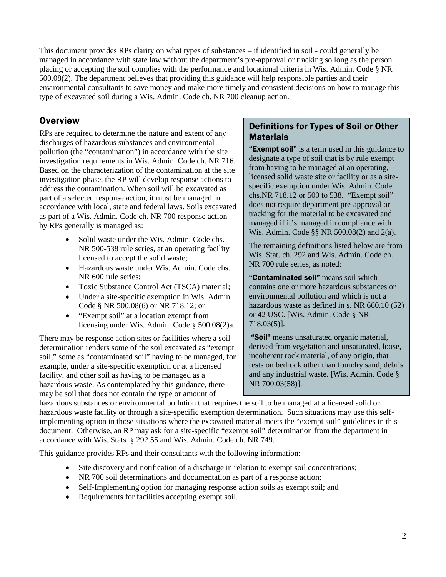This document provides RPs clarity on what types of substances – if identified in soil - could generally be managed in accordance with state law without the department's pre-approval or tracking so long as the person placing or accepting the soil complies with the performance and locational criteria in Wis. Admin. Code § NR 500.08(2). The department believes that providing this guidance will help responsible parties and their environmental consultants to save money and make more timely and consistent decisions on how to manage this type of excavated soil during a Wis. Admin. Code ch. NR 700 cleanup action.

#### **Overview**

RPs are required to determine the nature and extent of any discharges of hazardous substances and environmental pollution (the "contamination") in accordance with the site investigation requirements in Wis. Admin. Code ch. NR 716. Based on the characterization of the contamination at the site investigation phase, the RP will develop response actions to address the contamination. When soil will be excavated as part of a selected response action, it must be managed in accordance with local, state and federal laws. Soils excavated as part of a Wis. Admin. Code ch. NR 700 response action by RPs generally is managed as:

- Solid waste under the Wis. Admin. Code chs. NR 500-538 rule series, at an operating facility licensed to accept the solid waste;
- Hazardous waste under Wis. Admin. Code chs. NR 600 rule series;
- Toxic Substance Control Act (TSCA) material;
- Under a site-specific exemption in Wis. Admin. Code § NR 500.08(6) or NR 718.12; or
- "Exempt soil" at a location exempt from licensing under Wis. Admin. Code § 500.08(2)a.

There may be response action sites or facilities where a soil determination renders some of the soil excavated as "exempt soil," some as "contaminated soil" having to be managed, for example, under a site-specific exemption or at a licensed facility, and other soil as having to be managed as a hazardous waste. As contemplated by this guidance, there may be soil that does not contain the type or amount of

#### Definitions for Types of Soil or Other **Materials**

**"Exempt soil"** is a term used in this guidance to designate a type of soil that is by rule exempt from having to be managed at an operating, licensed solid waste site or facility or as a sitespecific exemption under Wis. Admin. Code chs.NR 718.12 or 500 to 538. "Exempt soil" does not require department pre-approval or tracking for the material to be excavated and managed if it's managed in compliance with Wis. Admin. Code §§ NR 500.08(2) and 2(a).

The remaining definitions listed below are from Wis. Stat. ch. 292 and Wis. Admin. Code ch. NR 700 rule series, as noted:

"Contaminated soil" means soil which contains one or more hazardous substances or environmental pollution and which is not a hazardous waste as defined in s. NR 660.10 (52) or 42 USC. [Wis. Admin. Code § NR 718.03(5)].

"Soil" means unsaturated organic material, derived from vegetation and unsaturated, loose, incoherent rock material, of any origin, that rests on bedrock other than foundry sand, debris and any industrial waste. [Wis. Admin. Code § NR 700.03(58)].

hazardous substances or environmental pollution that requires the soil to be managed at a licensed solid or hazardous waste facility or through a site-specific exemption determination. Such situations may use this selfimplementing option in those situations where the excavated material meets the "exempt soil" guidelines in this document. Otherwise, an RP may ask for a site-specific "exempt soil" determination from the department in accordance with Wis. Stats. § 292.55 and Wis. Admin. Code ch. NR 749.

This guidance provides RPs and their consultants with the following information:

- Site discovery and notification of a discharge in relation to exempt soil concentrations;
- NR 700 soil determinations and documentation as part of a response action;
- Self-Implementing option for managing response action soils as exempt soil; and
- Requirements for facilities accepting exempt soil.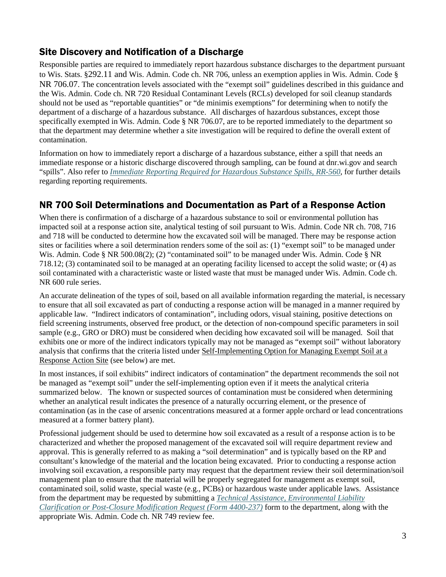## Site Discovery and Notification of a Discharge

Responsible parties are required to immediately report hazardous substance discharges to the department pursuant to Wis. Stats. §292.11 and Wis. Admin. Code ch. NR 706, unless an exemption applies in Wis. Admin. Code § NR 706.07. The concentration levels associated with the "exempt soil" guidelines described in this guidance and the Wis. Admin. Code ch. NR 720 Residual Contaminant Levels (RCLs) developed for soil cleanup standards should not be used as "reportable quantities" or "de minimis exemptions" for determining when to notify the department of a discharge of a hazardous substance. All discharges of hazardous substances, except those specifically exempted in Wis. Admin. Code § NR 706.07, are to be reported immediately to the department so that the department may determine whether a site investigation will be required to define the overall extent of contamination.

Information on how to immediately report a discharge of a hazardous substance, either a spill that needs an immediate response or a historic discharge discovered through sampling, can be found at dnr.wi.gov and search "spills". Also refer to *[Immediate Reporting Required for Hazardous Substance Spills,](http://dnr.wi.gov/files/PDF/pubs/rr/RR560.pdf) RR-560*, for further details regarding reporting requirements.

### NR 700 Soil Determinations and Documentation as Part of a Response Action

When there is confirmation of a discharge of a hazardous substance to soil or environmental pollution has impacted soil at a response action site, analytical testing of soil pursuant to Wis. Admin. Code NR ch. 708, 716 and 718 will be conducted to determine how the excavated soil will be managed. There may be response action sites or facilities where a soil determination renders some of the soil as: (1) "exempt soil" to be managed under Wis. Admin. Code § NR 500.08(2); (2) "contaminated soil" to be managed under Wis. Admin. Code § NR 718.12; (3) contaminated soil to be managed at an operating facility licensed to accept the solid waste; or (4) as soil contaminated with a characteristic waste or listed waste that must be managed under Wis. Admin. Code ch. NR 600 rule series.

An accurate delineation of the types of soil, based on all available information regarding the material, is necessary to ensure that all soil excavated as part of conducting a response action will be managed in a manner required by applicable law. "Indirect indicators of contamination", including odors, visual staining, positive detections on field screening instruments, observed free product, or the detection of non-compound specific parameters in soil sample (e.g., GRO or DRO) must be considered when deciding how excavated soil will be managed. Soil that exhibits one or more of the indirect indicators typically may not be managed as "exempt soil" without laboratory analysis that confirms that the criteria listed under Self-Implementing Option for Managing Exempt Soil at a Response Action Site (see below) are met.

In most instances, if soil exhibits" indirect indicators of contamination" the department recommends the soil not be managed as "exempt soil" under the self-implementing option even if it meets the analytical criteria summarized below. The known or suspected sources of contamination must be considered when determining whether an analytical result indicates the presence of a naturally occurring element, or the presence of contamination (as in the case of arsenic concentrations measured at a former apple orchard or lead concentrations measured at a former battery plant).

Professional judgement should be used to determine how soil excavated as a result of a response action is to be characterized and whether the proposed management of the excavated soil will require department review and approval. This is generally referred to as making a "soil determination" and is typically based on the RP and consultant's knowledge of the material and the location being excavated. Prior to conducting a response action involving soil excavation, a responsible party may request that the department review their soil determination/soil management plan to ensure that the material will be properly segregated for management as exempt soil, contaminated soil, solid waste, special waste (e.g., PCBs) or hazardous waste under applicable laws. Assistance from the department may be requested by submitting a *[Technical Assistance, Environmental Liability](http://dnr.wi.gov/files/PDF/forms/4400/4400-237.pdf)  [Clarification or Post-Closure Modification Request \(Form 4400-237\)](http://dnr.wi.gov/files/PDF/forms/4400/4400-237.pdf)* form to the department, along with the appropriate Wis. Admin. Code ch. NR 749 review fee.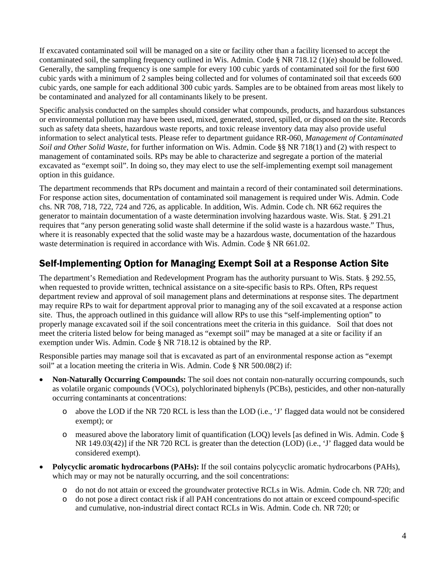If excavated contaminated soil will be managed on a site or facility other than a facility licensed to accept the contaminated soil, the sampling frequency outlined in Wis. Admin. Code § NR 718.12 (1)(e) should be followed. Generally, the sampling frequency is one sample for every 100 cubic yards of contaminated soil for the first 600 cubic yards with a minimum of 2 samples being collected and for volumes of contaminated soil that exceeds 600 cubic yards, one sample for each additional 300 cubic yards. Samples are to be obtained from areas most likely to be contaminated and analyzed for all contaminants likely to be present.

Specific analysis conducted on the samples should consider what compounds, products, and hazardous substances or environmental pollution may have been used, mixed, generated, stored, spilled, or disposed on the site. Records such as safety data sheets, hazardous waste reports, and toxic release inventory data may also provide useful information to select analytical tests. Please refer to department guidance RR-060, *Management of Contaminated Soil and Other Solid Waste*, for further information on Wis. Admin. Code §§ NR 718(1) and (2) with respect to management of contaminated soils. RPs may be able to characterize and segregate a portion of the material excavated as "exempt soil". In doing so, they may elect to use the self-implementing exempt soil management option in this guidance.

The department recommends that RPs document and maintain a record of their contaminated soil determinations. For response action sites, documentation of contaminated soil management is required under Wis. Admin. Code chs. NR 708, 718, 722, 724 and 726, as applicable. In addition, Wis. Admin. Code ch. NR 662 requires the generator to maintain documentation of a waste determination involving hazardous waste. Wis. Stat. § 291.21 requires that "any person generating solid waste shall determine if the solid waste is a hazardous waste." Thus, where it is reasonably expected that the solid waste may be a hazardous waste, documentation of the hazardous waste determination is required in accordance with Wis. Admin. Code § NR 661.02.

## Self-Implementing Option for Managing Exempt Soil at a Response Action Site

The department's Remediation and Redevelopment Program has the authority pursuant to Wis. Stats. § 292.55, when requested to provide written, technical assistance on a site-specific basis to RPs. Often, RPs request department review and approval of soil management plans and determinations at response sites. The department may require RPs to wait for department approval prior to managing any of the soil excavated at a response action site. Thus, the approach outlined in this guidance will allow RPs to use this "self-implementing option" to properly manage excavated soil if the soil concentrations meet the criteria in this guidance. Soil that does not meet the criteria listed below for being managed as "exempt soil" may be managed at a site or facility if an exemption under Wis. Admin. Code § NR 718.12 is obtained by the RP.

Responsible parties may manage soil that is excavated as part of an environmental response action as "exempt soil" at a location meeting the criteria in Wis. Admin. Code § NR 500.08(2) if:

- **Non-Naturally Occurring Compounds:** The soil does not contain non-naturally occurring compounds, such as volatile organic compounds (VOCs), polychlorinated biphenyls (PCBs), pesticides, and other non-naturally occurring contaminants at concentrations:
	- o above the LOD if the NR 720 RCL is less than the LOD (i.e., 'J' flagged data would not be considered exempt); or
	- o measured above the laboratory limit of quantification (LOQ) levels [as defined in Wis. Admin. Code § NR 149.03(42)] if the NR 720 RCL is greater than the detection (LOD) (i.e., 'J' flagged data would be considered exempt).
- **Polycyclic aromatic hydrocarbons (PAHs):** If the soil contains polycyclic aromatic hydrocarbons (PAHs), which may or may not be naturally occurring, and the soil concentrations:
	- o do not do not attain or exceed the groundwater protective RCLs in Wis. Admin. Code ch. NR 720; and
	- o do not pose a direct contact risk if all PAH concentrations do not attain or exceed compound-specific and cumulative, non-industrial direct contact RCLs in Wis. Admin. Code ch. NR 720; or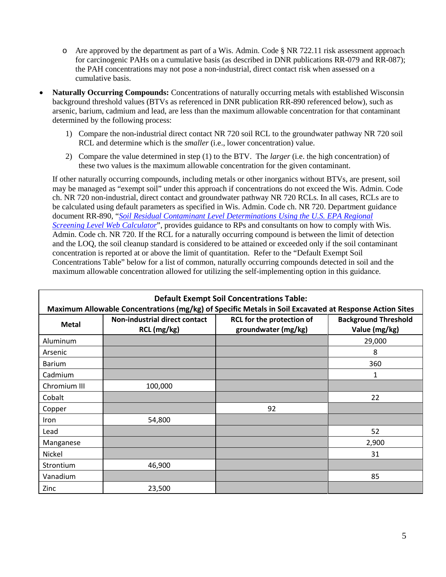- o Are approved by the department as part of a Wis. Admin. Code § NR 722.11 risk assessment approach for carcinogenic PAHs on a cumulative basis (as described in DNR publications RR-079 and RR-087); the PAH concentrations may not pose a non-industrial, direct contact risk when assessed on a cumulative basis.
- **Naturally Occurring Compounds:** Concentrations of naturally occurring metals with established Wisconsin background threshold values (BTVs as referenced in DNR publication RR-890 referenced below), such as arsenic, barium, cadmium and lead, are less than the maximum allowable concentration for that contaminant determined by the following process:
	- 1) Compare the non-industrial direct contact NR 720 soil RCL to the groundwater pathway NR 720 soil RCL and determine which is the *smaller* (i.e., lower concentration) value.
	- 2) Compare the value determined in step (1) to the BTV. The *larger* (i.e. the high concentration) of these two values is the maximum allowable concentration for the given contaminant.

If other naturally occurring compounds, including metals or other inorganics without BTVs, are present, soil may be managed as "exempt soil" under this approach if concentrations do not exceed the Wis. Admin. Code ch. NR 720 non-industrial, direct contact and groundwater pathway NR 720 RCLs. In all cases, RCLs are to be calculated using default parameters as specified in Wis. Admin. Code ch. NR 720. Department guidance document RR-890, "*[Soil Residual Contaminant Level Determinations Using the U.S. EPA Regional](http://dnr.wi.gov/files/PDF/pubs/rr/RR890.pdf)  [Screening Level Web Calculator](http://dnr.wi.gov/files/PDF/pubs/rr/RR890.pdf)*", provides guidance to RPs and consultants on how to comply with Wis. Admin. Code ch. NR 720. If the RCL for a naturally occurring compound is between the limit of detection and the LOQ, the soil cleanup standard is considered to be attained or exceeded only if the soil contaminant concentration is reported at or above the limit of quantitation. Refer to the "Default Exempt Soil Concentrations Table" below for a list of common, naturally occurring compounds detected in soil and the maximum allowable concentration allowed for utilizing the self-implementing option in this guidance.

| <b>Default Exempt Soil Concentrations Table:</b><br>Maximum Allowable Concentrations (mg/kg) of Specific Metals in Soil Excavated at Response Action Sites |                                              |                                                  |                                              |
|------------------------------------------------------------------------------------------------------------------------------------------------------------|----------------------------------------------|--------------------------------------------------|----------------------------------------------|
| <b>Metal</b>                                                                                                                                               | Non-industrial direct contact<br>RCL (mg/kg) | RCL for the protection of<br>groundwater (mg/kg) | <b>Background Threshold</b><br>Value (mg/kg) |
| Aluminum                                                                                                                                                   |                                              |                                                  | 29,000                                       |
| Arsenic                                                                                                                                                    |                                              |                                                  | 8                                            |
| <b>Barium</b>                                                                                                                                              |                                              |                                                  | 360                                          |
| Cadmium                                                                                                                                                    |                                              |                                                  | 1                                            |
| Chromium III                                                                                                                                               | 100,000                                      |                                                  |                                              |
| Cobalt                                                                                                                                                     |                                              |                                                  | 22                                           |
| Copper                                                                                                                                                     |                                              | 92                                               |                                              |
| Iron                                                                                                                                                       | 54,800                                       |                                                  |                                              |
| Lead                                                                                                                                                       |                                              |                                                  | 52                                           |
| Manganese                                                                                                                                                  |                                              |                                                  | 2,900                                        |
| Nickel                                                                                                                                                     |                                              |                                                  | 31                                           |
| Strontium                                                                                                                                                  | 46,900                                       |                                                  |                                              |
| Vanadium                                                                                                                                                   |                                              |                                                  | 85                                           |
| Zinc                                                                                                                                                       | 23,500                                       |                                                  |                                              |